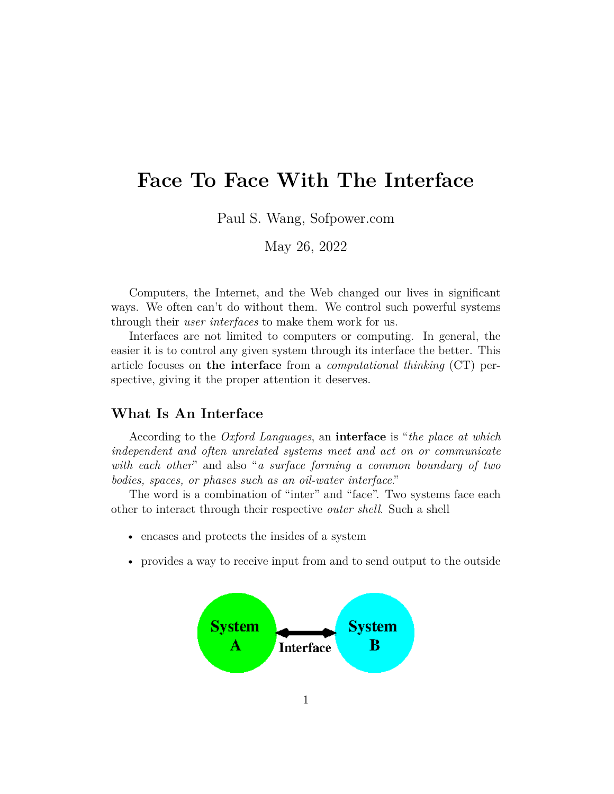# **Face To Face With The Interface**

Paul S. Wang, Sofpower.com

May 26, 2022

Computers, the Internet, and the Web changed our lives in significant ways. We often can't do without them. We control such powerful systems through their *user interfaces* to make them work for us.

Interfaces are not limited to computers or computing. In general, the easier it is to control any given system through its interface the better. This article focuses on **the interface** from a *computational thinking* (CT) perspective, giving it the proper attention it deserves.

## **What Is An Interface**

According to the *Oxford Languages*, an **interface** is "*the place at which independent and often unrelated systems meet and act on or communicate with each other*" and also "*a surface forming a common boundary of two bodies, spaces, or phases such as an oil-water interface*."

The word is a combination of "inter" and "face". Two systems face each other to interact through their respective *outer shell*. Such a shell

- encases and protects the insides of a system
- provides a way to receive input from and to send output to the outside

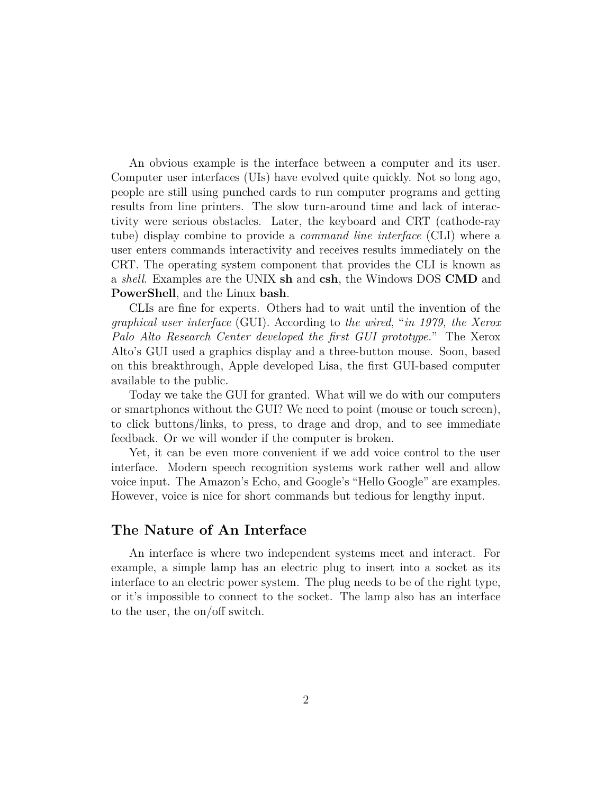An obvious example is the interface between a computer and its user. Computer user interfaces (UIs) have evolved quite quickly. Not so long ago, people are still using punched cards to run computer programs and getting results from line printers. The slow turn-around time and lack of interactivity were serious obstacles. Later, the keyboard and CRT (cathode-ray tube) display combine to provide a *command line interface* (CLI) where a user enters commands interactivity and receives results immediately on the CRT. The operating system component that provides the CLI is known as a *shell*. Examples are the UNIX **sh** and **csh**, the Windows DOS **CMD** and **PowerShell**, and the Linux **bash**.

CLIs are fine for experts. Others had to wait until the invention of the *graphical user interface* (GUI). According to *the wired*, "*in 1979, the Xerox Palo Alto Research Center developed the first GUI prototype.*" The Xerox Alto's GUI used a graphics display and a three-button mouse. Soon, based on this breakthrough, Apple developed Lisa, the first GUI-based computer available to the public.

Today we take the GUI for granted. What will we do with our computers or smartphones without the GUI? We need to point (mouse or touch screen), to click buttons/links, to press, to drage and drop, and to see immediate feedback. Or we will wonder if the computer is broken.

Yet, it can be even more convenient if we add voice control to the user interface. Modern speech recognition systems work rather well and allow voice input. The Amazon's Echo, and Google's "Hello Google" are examples. However, voice is nice for short commands but tedious for lengthy input.

### **The Nature of An Interface**

An interface is where two independent systems meet and interact. For example, a simple lamp has an electric plug to insert into a socket as its interface to an electric power system. The plug needs to be of the right type, or it's impossible to connect to the socket. The lamp also has an interface to the user, the on/off switch.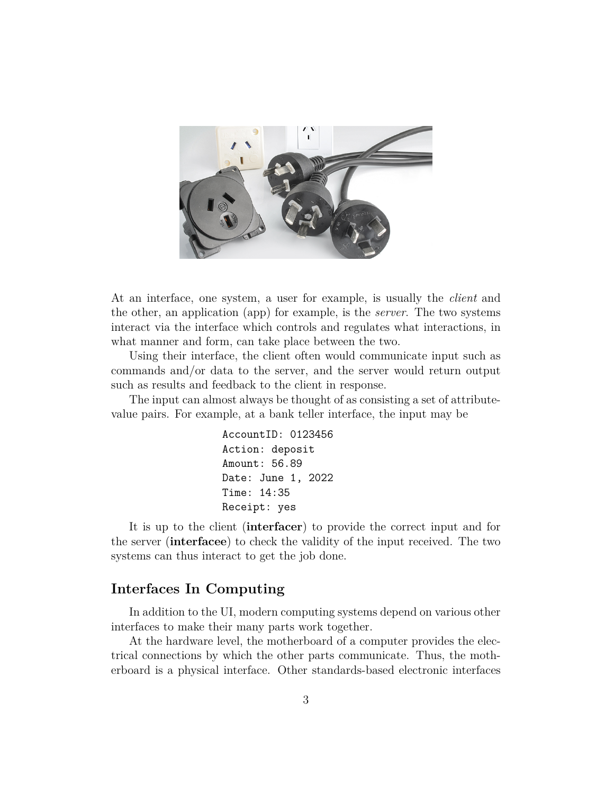

At an interface, one system, a user for example, is usually the *client* and the other, an application (app) for example, is the *server*. The two systems interact via the interface which controls and regulates what interactions, in what manner and form, can take place between the two.

Using their interface, the client often would communicate input such as commands and/or data to the server, and the server would return output such as results and feedback to the client in response.

The input can almost always be thought of as consisting a set of attributevalue pairs. For example, at a bank teller interface, the input may be

```
AccountID: 0123456
Action: deposit
Amount: 56.89
Date: June 1, 2022
Time: 14:35
Receipt: yes
```
It is up to the client (**interfacer**) to provide the correct input and for the server (**interfacee**) to check the validity of the input received. The two systems can thus interact to get the job done.

# **Interfaces In Computing**

In addition to the UI, modern computing systems depend on various other interfaces to make their many parts work together.

At the hardware level, the motherboard of a computer provides the electrical connections by which the other parts communicate. Thus, the motherboard is a physical interface. Other standards-based electronic interfaces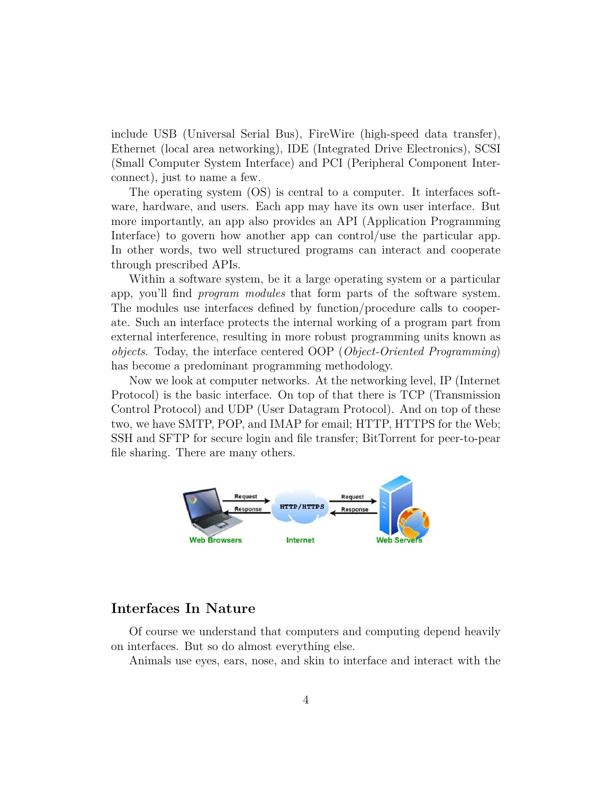include USB (Universal Serial Bus), FireWire (high-speed data transfer), Ethernet (local area networking), IDE (Integrated Drive Electronics), SCSI (Small Computer System Interface) and PCI (Peripheral Component Interconnect), just to name a few.

The operating system (OS) is central to a computer. It interfaces software, hardware, and users. Each app may have its own user interface. But more importantly, an app also provides an API (Application Programming Interface) to govern how another app can control/use the particular app. In other words, two well structured programs can interact and cooperate through prescribed APIs.

Within a software system, be it a large operating system or a particular app, you'll find *program modules* that form parts of the software system. The modules use interfaces defined by function/procedure calls to cooperate. Such an interface protects the internal working of a program part from external interference, resulting in more robust programming units known as *objects*. Today, the interface centered OOP (*Object-Oriented Programming*) has become a predominant programming methodology.

Now we look at computer networks. At the networking level, IP (Internet Protocol) is the basic interface. On top of that there is TCP (Transmission Control Protocol) and UDP (User Datagram Protocol). And on top of these two, we have SMTP, POP, and IMAP for email; HTTP, HTTPS for the Web; SSH and SFTP for secure login and file transfer; BitTorrent for peer-to-pear file sharing. There are many others.



## **Interfaces In Nature**

Of course we understand that computers and computing depend heavily on interfaces. But so do almost everything else.

Animals use eyes, ears, nose, and skin to interface and interact with the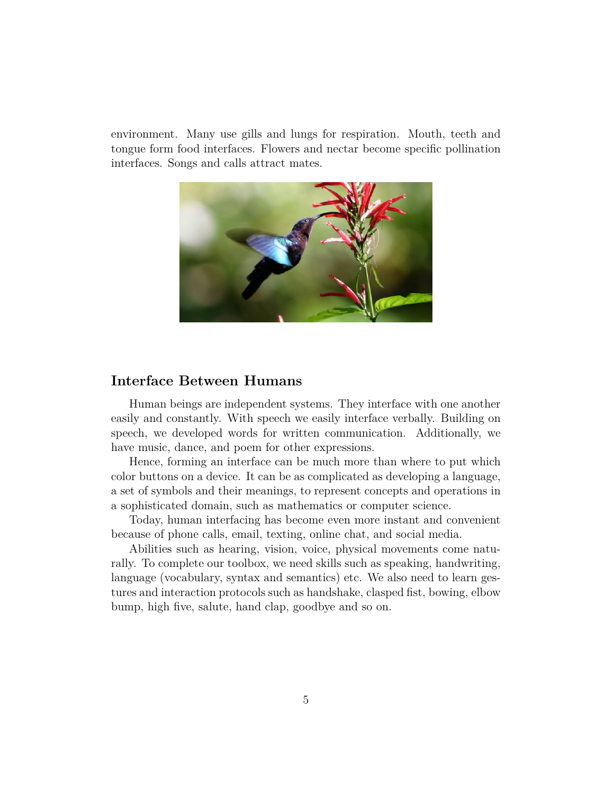environment. Many use gills and lungs for respiration. Mouth, teeth and tongue form food interfaces. Flowers and nectar become specific pollination interfaces. Songs and calls attract mates.



#### **Interface Between Humans**

Human beings are independent systems. They interface with one another easily and constantly. With speech we easily interface verbally. Building on speech, we developed words for written communication. Additionally, we have music, dance, and poem for other expressions.

Hence, forming an interface can be much more than where to put which color buttons on a device. It can be as complicated as developing a language, a set of symbols and their meanings, to represent concepts and operations in a sophisticated domain, such as mathematics or computer science.

Today, human interfacing has become even more instant and convenient because of phone calls, email, texting, online chat, and social media.

Abilities such as hearing, vision, voice, physical movements come naturally. To complete our toolbox, we need skills such as speaking, handwriting, language (vocabulary, syntax and semantics) etc. We also need to learn gestures and interaction protocols such as handshake, clasped fist, bowing, elbow bump, high five, salute, hand clap, goodbye and so on.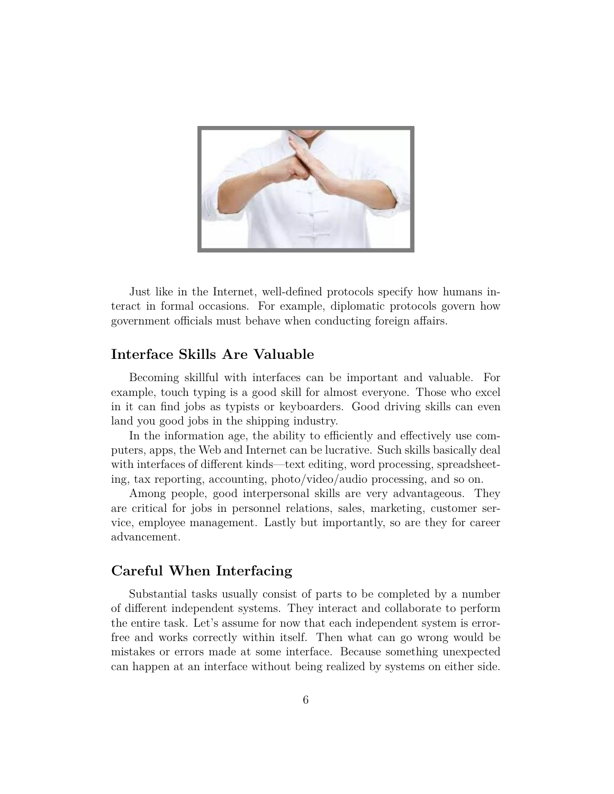

Just like in the Internet, well-defined protocols specify how humans interact in formal occasions. For example, diplomatic protocols govern how government officials must behave when conducting foreign affairs.

## **Interface Skills Are Valuable**

Becoming skillful with interfaces can be important and valuable. For example, touch typing is a good skill for almost everyone. Those who excel in it can find jobs as typists or keyboarders. Good driving skills can even land you good jobs in the shipping industry.

In the information age, the ability to efficiently and effectively use computers, apps, the Web and Internet can be lucrative. Such skills basically deal with interfaces of different kinds—text editing, word processing, spreadsheeting, tax reporting, accounting, photo/video/audio processing, and so on.

Among people, good interpersonal skills are very advantageous. They are critical for jobs in personnel relations, sales, marketing, customer service, employee management. Lastly but importantly, so are they for career advancement.

## **Careful When Interfacing**

Substantial tasks usually consist of parts to be completed by a number of different independent systems. They interact and collaborate to perform the entire task. Let's assume for now that each independent system is errorfree and works correctly within itself. Then what can go wrong would be mistakes or errors made at some interface. Because something unexpected can happen at an interface without being realized by systems on either side.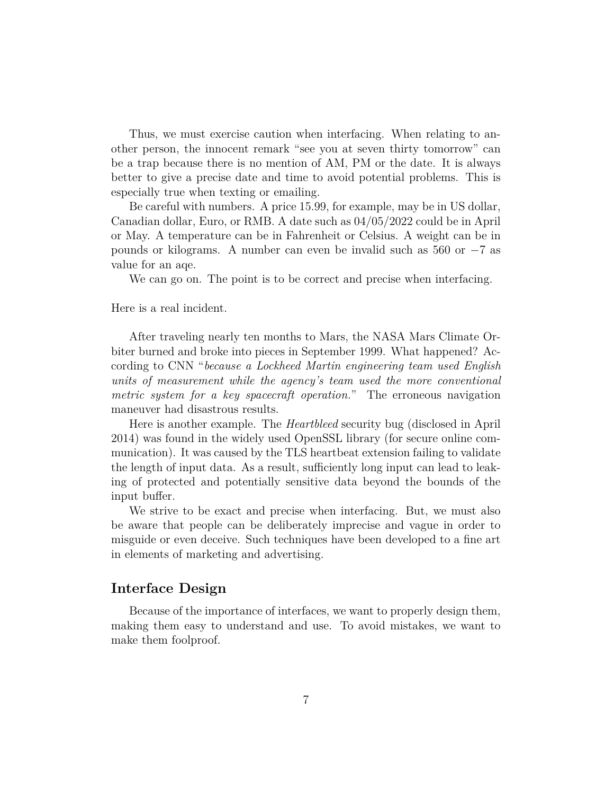Thus, we must exercise caution when interfacing. When relating to another person, the innocent remark "see you at seven thirty tomorrow" can be a trap because there is no mention of AM, PM or the date. It is always better to give a precise date and time to avoid potential problems. This is especially true when texting or emailing.

Be careful with numbers. A price 15.99, for example, may be in US dollar, Canadian dollar, Euro, or RMB. A date such as 04/05/2022 could be in April or May. A temperature can be in Fahrenheit or Celsius. A weight can be in pounds or kilograms. A number can even be invalid such as 560 or *−*7 as value for an aqe.

We can go on. The point is to be correct and precise when interfacing.

Here is a real incident.

After traveling nearly ten months to Mars, the NASA Mars Climate Orbiter burned and broke into pieces in September 1999. What happened? According to CNN "*because a Lockheed Martin engineering team used English units of measurement while the agency's team used the more conventional metric system for a key spacecraft operation.*" The erroneous navigation maneuver had disastrous results.

Here is another example. The *Heartbleed* security bug (disclosed in April 2014) was found in the widely used OpenSSL library (for secure online communication). It was caused by the TLS heartbeat extension failing to validate the length of input data. As a result, sufficiently long input can lead to leaking of protected and potentially sensitive data beyond the bounds of the input buffer.

We strive to be exact and precise when interfacing. But, we must also be aware that people can be deliberately imprecise and vague in order to misguide or even deceive. Such techniques have been developed to a fine art in elements of marketing and advertising.

#### **Interface Design**

Because of the importance of interfaces, we want to properly design them, making them easy to understand and use. To avoid mistakes, we want to make them foolproof.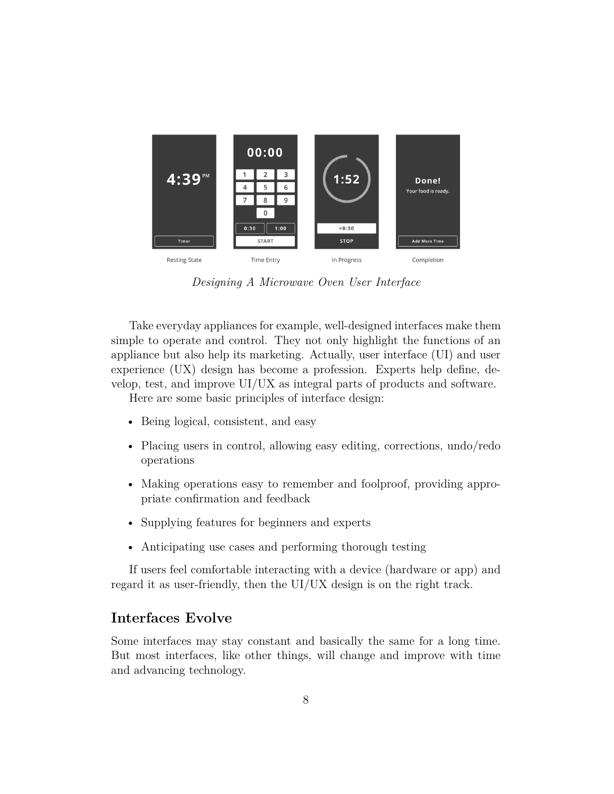

*Designing A Microwave Oven User Interface*

Take everyday appliances for example, well-designed interfaces make them simple to operate and control. They not only highlight the functions of an appliance but also help its marketing. Actually, user interface (UI) and user experience (UX) design has become a profession. Experts help define, develop, test, and improve UI/UX as integral parts of products and software.

Here are some basic principles of interface design:

- Being logical, consistent, and easy
- Placing users in control, allowing easy editing, corrections, undo/redo operations
- Making operations easy to remember and foolproof, providing appropriate confirmation and feedback
- Supplying features for beginners and experts
- Anticipating use cases and performing thorough testing

If users feel comfortable interacting with a device (hardware or app) and regard it as user-friendly, then the UI/UX design is on the right track.

# **Interfaces Evolve**

Some interfaces may stay constant and basically the same for a long time. But most interfaces, like other things, will change and improve with time and advancing technology.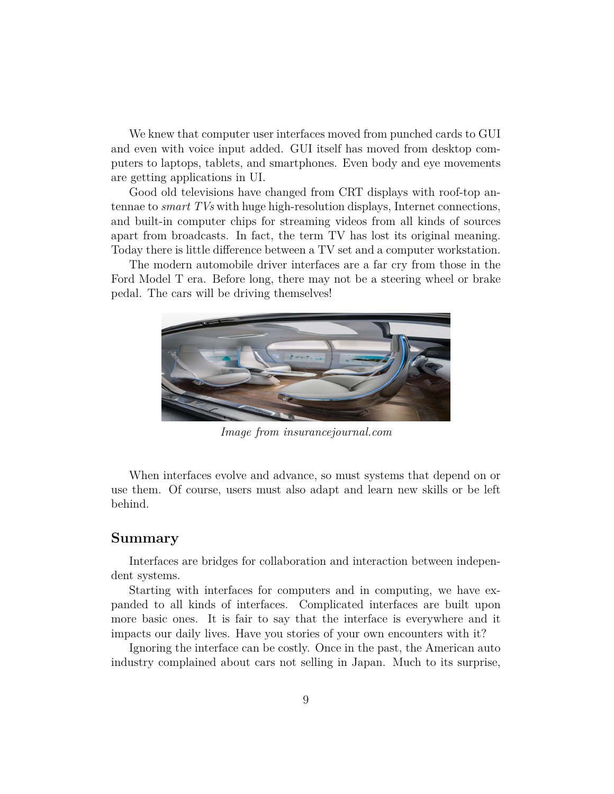We knew that computer user interfaces moved from punched cards to GUI and even with voice input added. GUI itself has moved from desktop computers to laptops, tablets, and smartphones. Even body and eye movements are getting applications in UI.

Good old televisions have changed from CRT displays with roof-top antennae to *smart TVs* with huge high-resolution displays, Internet connections, and built-in computer chips for streaming videos from all kinds of sources apart from broadcasts. In fact, the term TV has lost its original meaning. Today there is little difference between a TV set and a computer workstation.

The modern automobile driver interfaces are a far cry from those in the Ford Model T era. Before long, there may not be a steering wheel or brake pedal. The cars will be driving themselves!



*Image from insurancejournal.com*

When interfaces evolve and advance, so must systems that depend on or use them. Of course, users must also adapt and learn new skills or be left behind.

#### **Summary**

Interfaces are bridges for collaboration and interaction between independent systems.

Starting with interfaces for computers and in computing, we have expanded to all kinds of interfaces. Complicated interfaces are built upon more basic ones. It is fair to say that the interface is everywhere and it impacts our daily lives. Have you stories of your own encounters with it?

Ignoring the interface can be costly. Once in the past, the American auto industry complained about cars not selling in Japan. Much to its surprise,